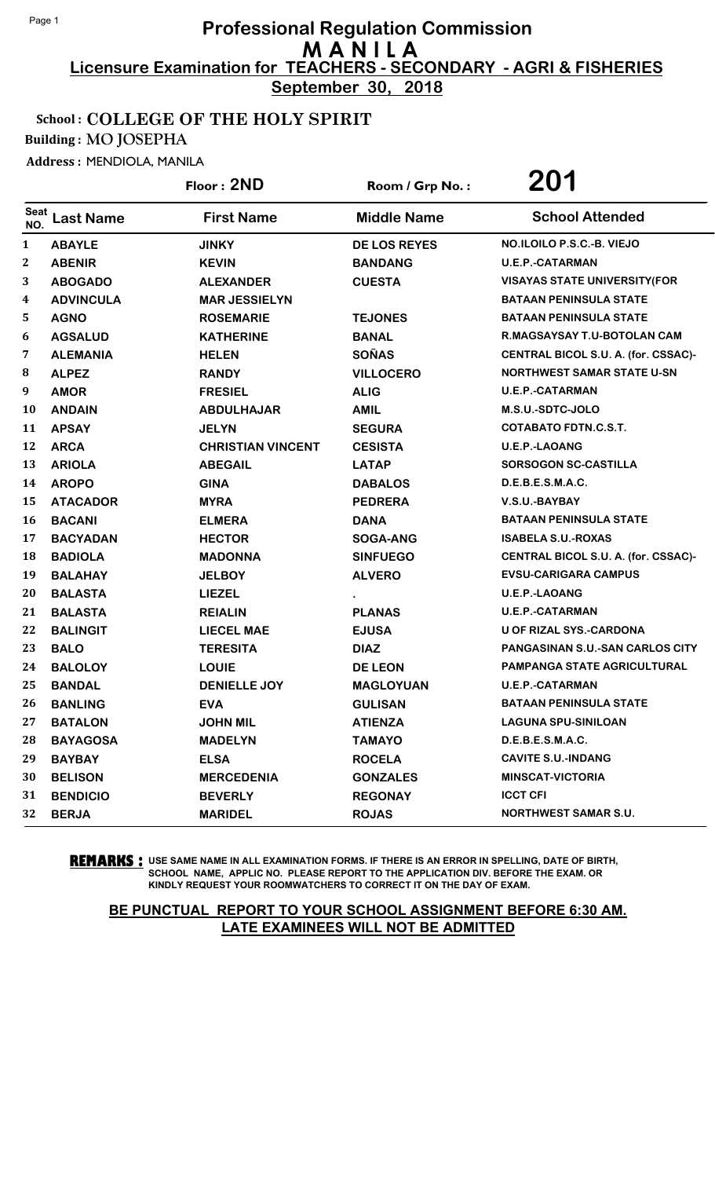**September 30, 2018**

### School : COLLEGE OF THE HOLY SPIRIT

Building : MO JOSEPHA

Address : MENDIOLA, MANILA

|                    |                  | Floor: 2ND               | Room / Grp No.:     | 201                                  |
|--------------------|------------------|--------------------------|---------------------|--------------------------------------|
| <b>Seat</b><br>NO. | <b>Last Name</b> | <b>First Name</b>        | <b>Middle Name</b>  | <b>School Attended</b>               |
| $\mathbf{1}$       | <b>ABAYLE</b>    | <b>JINKY</b>             | <b>DE LOS REYES</b> | NO.ILOILO P.S.C.-B. VIEJO            |
| 2                  | <b>ABENIR</b>    | <b>KEVIN</b>             | <b>BANDANG</b>      | <b>U.E.P.-CATARMAN</b>               |
| 3                  | <b>ABOGADO</b>   | <b>ALEXANDER</b>         | <b>CUESTA</b>       | <b>VISAYAS STATE UNIVERSITY (FOR</b> |
| 4                  | <b>ADVINCULA</b> | <b>MAR JESSIELYN</b>     |                     | <b>BATAAN PENINSULA STATE</b>        |
| 5                  | <b>AGNO</b>      | <b>ROSEMARIE</b>         | <b>TEJONES</b>      | <b>BATAAN PENINSULA STATE</b>        |
| 6                  | <b>AGSALUD</b>   | <b>KATHERINE</b>         | <b>BANAL</b>        | R.MAGSAYSAY T.U-BOTOLAN CAM          |
| 7                  | <b>ALEMANIA</b>  | <b>HELEN</b>             | <b>SOÑAS</b>        | CENTRAL BICOL S.U. A. (for. CSSAC)-  |
| 8                  | <b>ALPEZ</b>     | <b>RANDY</b>             | <b>VILLOCERO</b>    | <b>NORTHWEST SAMAR STATE U-SN</b>    |
| 9                  | <b>AMOR</b>      | <b>FRESIEL</b>           | <b>ALIG</b>         | <b>U.E.P.-CATARMAN</b>               |
| 10                 | <b>ANDAIN</b>    | <b>ABDULHAJAR</b>        | <b>AMIL</b>         | M.S.U.-SDTC-JOLO                     |
| 11                 | <b>APSAY</b>     | <b>JELYN</b>             | <b>SEGURA</b>       | <b>COTABATO FDTN.C.S.T.</b>          |
| 12                 | <b>ARCA</b>      | <b>CHRISTIAN VINCENT</b> | <b>CESISTA</b>      | <b>U.E.P.-LAOANG</b>                 |
| 13                 | <b>ARIOLA</b>    | <b>ABEGAIL</b>           | <b>LATAP</b>        | <b>SORSOGON SC-CASTILLA</b>          |
| 14                 | <b>AROPO</b>     | <b>GINA</b>              | <b>DABALOS</b>      | D.E.B.E.S.M.A.C.                     |
| 15                 | <b>ATACADOR</b>  | <b>MYRA</b>              | <b>PEDRERA</b>      | V.S.U.-BAYBAY                        |
| 16                 | <b>BACANI</b>    | <b>ELMERA</b>            | <b>DANA</b>         | <b>BATAAN PENINSULA STATE</b>        |
| 17                 | <b>BACYADAN</b>  | <b>HECTOR</b>            | <b>SOGA-ANG</b>     | <b>ISABELA S.U.-ROXAS</b>            |
| 18                 | <b>BADIOLA</b>   | <b>MADONNA</b>           | <b>SINFUEGO</b>     | CENTRAL BICOL S.U. A. (for. CSSAC)-  |
| 19                 | <b>BALAHAY</b>   | <b>JELBOY</b>            | <b>ALVERO</b>       | <b>EVSU-CARIGARA CAMPUS</b>          |
| 20                 | <b>BALASTA</b>   | <b>LIEZEL</b>            |                     | <b>U.E.P.-LAOANG</b>                 |
| 21                 | <b>BALASTA</b>   | <b>REIALIN</b>           | <b>PLANAS</b>       | <b>U.E.P.-CATARMAN</b>               |
| 22                 | <b>BALINGIT</b>  | <b>LIECEL MAE</b>        | <b>EJUSA</b>        | <b>U OF RIZAL SYS.-CARDONA</b>       |
| 23                 | <b>BALO</b>      | <b>TERESITA</b>          | <b>DIAZ</b>         | PANGASINAN S.U.-SAN CARLOS CITY      |
| 24                 | <b>BALOLOY</b>   | <b>LOUIE</b>             | <b>DE LEON</b>      | <b>PAMPANGA STATE AGRICULTURAL</b>   |
| 25                 | <b>BANDAL</b>    | <b>DENIELLE JOY</b>      | <b>MAGLOYUAN</b>    | <b>U.E.P.-CATARMAN</b>               |
| 26                 | <b>BANLING</b>   | <b>EVA</b>               | <b>GULISAN</b>      | <b>BATAAN PENINSULA STATE</b>        |
| 27                 | <b>BATALON</b>   | <b>JOHN MIL</b>          | <b>ATIENZA</b>      | <b>LAGUNA SPU-SINILOAN</b>           |
| 28                 | <b>BAYAGOSA</b>  | <b>MADELYN</b>           | <b>TAMAYO</b>       | D.E.B.E.S.M.A.C.                     |
| 29                 | <b>BAYBAY</b>    | <b>ELSA</b>              | <b>ROCELA</b>       | <b>CAVITE S.U.-INDANG</b>            |
| 30                 | <b>BELISON</b>   | <b>MERCEDENIA</b>        | <b>GONZALES</b>     | <b>MINSCAT-VICTORIA</b>              |
| 31                 | <b>BENDICIO</b>  | <b>BEVERLY</b>           | <b>REGONAY</b>      | <b>ICCT CFI</b>                      |
| 32                 | <b>BERJA</b>     | <b>MARIDEL</b>           | <b>ROJAS</b>        | <b>NORTHWEST SAMAR S.U.</b>          |

**REMARKS :** USE SAME NAME IN ALL EXAMINATION FORMS. IF THERE IS AN ERROR IN SPELLING, DATE OF BIRTH, SCHOOL NAME, APPLIC NO. PLEASE REPORT TO THE APPLICATION DIV. BEFORE THE EXAM. OR KINDLY REQUEST YOUR ROOMWATCHERS TO CORRECT IT ON THE DAY OF EXAM.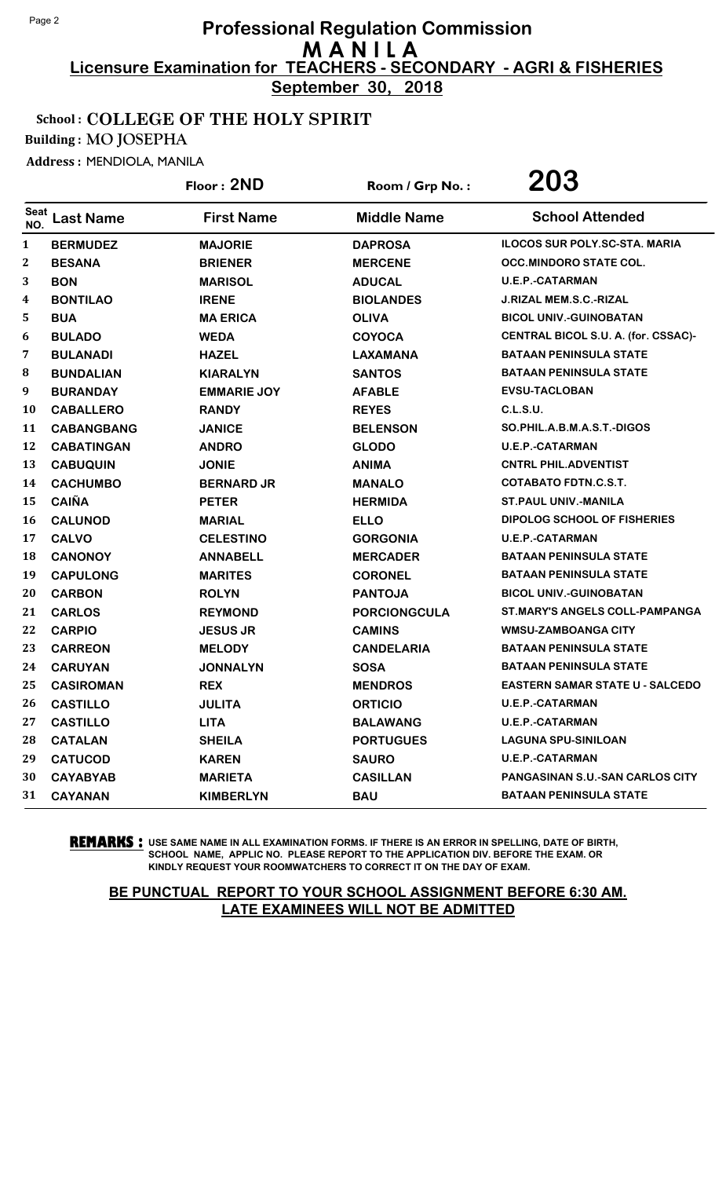**September 30, 2018**

### School : COLLEGE OF THE HOLY SPIRIT

Building : MO JOSEPHA

Address : MENDIOLA, MANILA

|              |                   | Floor: 2ND         | Room / Grp No.:     | 203                                    |
|--------------|-------------------|--------------------|---------------------|----------------------------------------|
| Seat<br>NO.  | <b>Last Name</b>  | <b>First Name</b>  | <b>Middle Name</b>  | <b>School Attended</b>                 |
| $\mathbf{1}$ | <b>BERMUDEZ</b>   | <b>MAJORIE</b>     | <b>DAPROSA</b>      | <b>ILOCOS SUR POLY.SC-STA. MARIA</b>   |
| 2            | <b>BESANA</b>     | <b>BRIENER</b>     | <b>MERCENE</b>      | OCC.MINDORO STATE COL.                 |
| 3            | <b>BON</b>        | <b>MARISOL</b>     | <b>ADUCAL</b>       | <b>U.E.P.-CATARMAN</b>                 |
| 4            | <b>BONTILAO</b>   | <b>IRENE</b>       | <b>BIOLANDES</b>    | <b>J.RIZAL MEM.S.C.-RIZAL</b>          |
| 5            | <b>BUA</b>        | <b>MA ERICA</b>    | <b>OLIVA</b>        | <b>BICOL UNIV.-GUINOBATAN</b>          |
| 6            | <b>BULADO</b>     | <b>WEDA</b>        | <b>COYOCA</b>       | CENTRAL BICOL S.U. A. (for. CSSAC)-    |
| 7            | <b>BULANADI</b>   | <b>HAZEL</b>       | <b>LAXAMANA</b>     | <b>BATAAN PENINSULA STATE</b>          |
| 8            | <b>BUNDALIAN</b>  | <b>KIARALYN</b>    | <b>SANTOS</b>       | <b>BATAAN PENINSULA STATE</b>          |
| 9            | <b>BURANDAY</b>   | <b>EMMARIE JOY</b> | <b>AFABLE</b>       | <b>EVSU-TACLOBAN</b>                   |
| 10           | <b>CABALLERO</b>  | <b>RANDY</b>       | <b>REYES</b>        | <b>C.L.S.U.</b>                        |
| 11           | <b>CABANGBANG</b> | <b>JANICE</b>      | <b>BELENSON</b>     | SO.PHIL.A.B.M.A.S.T.-DIGOS             |
| 12           | <b>CABATINGAN</b> | <b>ANDRO</b>       | <b>GLODO</b>        | <b>U.E.P.-CATARMAN</b>                 |
| 13           | <b>CABUQUIN</b>   | <b>JONIE</b>       | <b>ANIMA</b>        | <b>CNTRL PHIL.ADVENTIST</b>            |
| 14           | <b>CACHUMBO</b>   | <b>BERNARD JR</b>  | <b>MANALO</b>       | <b>COTABATO FDTN.C.S.T.</b>            |
| 15           | <b>CAIÑA</b>      | <b>PETER</b>       | <b>HERMIDA</b>      | <b>ST. PAUL UNIV.-MANILA</b>           |
| 16           | <b>CALUNOD</b>    | <b>MARIAL</b>      | <b>ELLO</b>         | DIPOLOG SCHOOL OF FISHERIES            |
| 17           | <b>CALVO</b>      | <b>CELESTINO</b>   | <b>GORGONIA</b>     | <b>U.E.P.-CATARMAN</b>                 |
| 18           | <b>CANONOY</b>    | <b>ANNABELL</b>    | <b>MERCADER</b>     | <b>BATAAN PENINSULA STATE</b>          |
| 19           | <b>CAPULONG</b>   | <b>MARITES</b>     | <b>CORONEL</b>      | <b>BATAAN PENINSULA STATE</b>          |
| 20           | <b>CARBON</b>     | <b>ROLYN</b>       | <b>PANTOJA</b>      | <b>BICOL UNIV.-GUINOBATAN</b>          |
| 21           | <b>CARLOS</b>     | <b>REYMOND</b>     | <b>PORCIONGCULA</b> | <b>ST.MARY'S ANGELS COLL-PAMPANGA</b>  |
| 22           | <b>CARPIO</b>     | <b>JESUS JR</b>    | <b>CAMINS</b>       | <b>WMSU-ZAMBOANGA CITY</b>             |
| 23           | <b>CARREON</b>    | <b>MELODY</b>      | <b>CANDELARIA</b>   | <b>BATAAN PENINSULA STATE</b>          |
| 24           | <b>CARUYAN</b>    | <b>JONNALYN</b>    | <b>SOSA</b>         | <b>BATAAN PENINSULA STATE</b>          |
| 25           | <b>CASIROMAN</b>  | <b>REX</b>         | <b>MENDROS</b>      | <b>EASTERN SAMAR STATE U - SALCEDO</b> |
| 26           | <b>CASTILLO</b>   | <b>JULITA</b>      | <b>ORTICIO</b>      | <b>U.E.P.-CATARMAN</b>                 |
| 27           | <b>CASTILLO</b>   | <b>LITA</b>        | <b>BALAWANG</b>     | <b>U.E.P.-CATARMAN</b>                 |
| 28           | <b>CATALAN</b>    | <b>SHEILA</b>      | <b>PORTUGUES</b>    | <b>LAGUNA SPU-SINILOAN</b>             |
| 29           | <b>CATUCOD</b>    | <b>KAREN</b>       | <b>SAURO</b>        | <b>U.E.P.-CATARMAN</b>                 |
| 30           | <b>CAYABYAB</b>   | <b>MARIETA</b>     | <b>CASILLAN</b>     | PANGASINAN S.U.-SAN CARLOS CITY        |
| 31           | <b>CAYANAN</b>    | <b>KIMBERLYN</b>   | <b>BAU</b>          | <b>BATAAN PENINSULA STATE</b>          |

**REMARKS :** USE SAME NAME IN ALL EXAMINATION FORMS. IF THERE IS AN ERROR IN SPELLING, DATE OF BIRTH, SCHOOL NAME, APPLIC NO. PLEASE REPORT TO THE APPLICATION DIV. BEFORE THE EXAM. OR KINDLY REQUEST YOUR ROOMWATCHERS TO CORRECT IT ON THE DAY OF EXAM.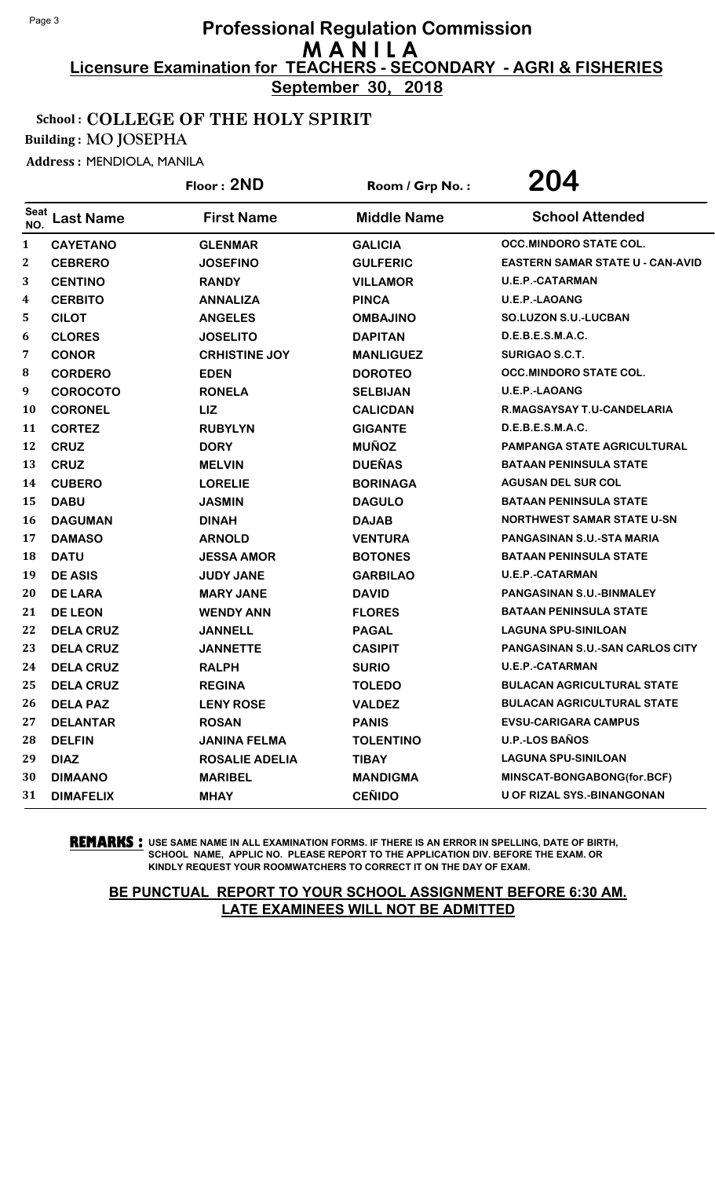**September 30, 2018**

### School : COLLEGE OF THE HOLY SPIRIT

Building : MO JOSEPHA

Address : MENDIOLA, MANILA

|              |                  | Floor: 2ND            | Room / Grp No.:    | 204                                     |
|--------------|------------------|-----------------------|--------------------|-----------------------------------------|
| Seat<br>NO.  | <b>Last Name</b> | <b>First Name</b>     | <b>Middle Name</b> | <b>School Attended</b>                  |
| $\mathbf{1}$ | <b>CAYETANO</b>  | <b>GLENMAR</b>        | <b>GALICIA</b>     | <b>OCC.MINDORO STATE COL.</b>           |
| 2            | <b>CEBRERO</b>   | <b>JOSEFINO</b>       | <b>GULFERIC</b>    | <b>EASTERN SAMAR STATE U - CAN-AVID</b> |
| 3            | <b>CENTINO</b>   | <b>RANDY</b>          | <b>VILLAMOR</b>    | <b>U.E.P.-CATARMAN</b>                  |
| 4            | <b>CERBITO</b>   | <b>ANNALIZA</b>       | <b>PINCA</b>       | <b>U.E.P.-LAOANG</b>                    |
| 5            | <b>CILOT</b>     | <b>ANGELES</b>        | <b>OMBAJINO</b>    | <b>SO.LUZON S.U.-LUCBAN</b>             |
| 6            | <b>CLORES</b>    | <b>JOSELITO</b>       | <b>DAPITAN</b>     | D.E.B.E.S.M.A.C.                        |
| 7            | <b>CONOR</b>     | <b>CRHISTINE JOY</b>  | <b>MANLIGUEZ</b>   | SURIGAO S.C.T.                          |
| 8            | <b>CORDERO</b>   | <b>EDEN</b>           | <b>DOROTEO</b>     | <b>OCC.MINDORO STATE COL.</b>           |
| 9            | <b>COROCOTO</b>  | <b>RONELA</b>         | <b>SELBIJAN</b>    | <b>U.E.P.-LAOANG</b>                    |
| 10           | <b>CORONEL</b>   | LIZ                   | <b>CALICDAN</b>    | R.MAGSAYSAY T.U-CANDELARIA              |
| 11           | <b>CORTEZ</b>    | <b>RUBYLYN</b>        | <b>GIGANTE</b>     | D.E.B.E.S.M.A.C.                        |
| 12           | <b>CRUZ</b>      | <b>DORY</b>           | <b>MUÑOZ</b>       | <b>PAMPANGA STATE AGRICULTURAL</b>      |
| 13           | <b>CRUZ</b>      | <b>MELVIN</b>         | <b>DUEÑAS</b>      | <b>BATAAN PENINSULA STATE</b>           |
| 14           | <b>CUBERO</b>    | <b>LORELIE</b>        | <b>BORINAGA</b>    | <b>AGUSAN DEL SUR COL</b>               |
| 15           | <b>DABU</b>      | <b>JASMIN</b>         | <b>DAGULO</b>      | <b>BATAAN PENINSULA STATE</b>           |
| 16           | <b>DAGUMAN</b>   | <b>DINAH</b>          | <b>DAJAB</b>       | <b>NORTHWEST SAMAR STATE U-SN</b>       |
| 17           | <b>DAMASO</b>    | <b>ARNOLD</b>         | <b>VENTURA</b>     | PANGASINAN S.U.-STA MARIA               |
| 18           | <b>DATU</b>      | <b>JESSA AMOR</b>     | <b>BOTONES</b>     | <b>BATAAN PENINSULA STATE</b>           |
| 19           | <b>DE ASIS</b>   | <b>JUDY JANE</b>      | <b>GARBILAO</b>    | <b>U.E.P.-CATARMAN</b>                  |
| 20           | <b>DE LARA</b>   | <b>MARY JANE</b>      | <b>DAVID</b>       | PANGASINAN S.U.-BINMALEY                |
| 21           | <b>DE LEON</b>   | <b>WENDY ANN</b>      | <b>FLORES</b>      | <b>BATAAN PENINSULA STATE</b>           |
| 22           | <b>DELA CRUZ</b> | <b>JANNELL</b>        | <b>PAGAL</b>       | <b>LAGUNA SPU-SINILOAN</b>              |
| 23           | <b>DELA CRUZ</b> | <b>JANNETTE</b>       | <b>CASIPIT</b>     | <b>PANGASINAN S.U.-SAN CARLOS CITY</b>  |
| 24           | <b>DELA CRUZ</b> | <b>RALPH</b>          | <b>SURIO</b>       | <b>U.E.P.-CATARMAN</b>                  |
| 25           | <b>DELA CRUZ</b> | <b>REGINA</b>         | <b>TOLEDO</b>      | <b>BULACAN AGRICULTURAL STATE</b>       |
| 26           | <b>DELA PAZ</b>  | <b>LENY ROSE</b>      | <b>VALDEZ</b>      | <b>BULACAN AGRICULTURAL STATE</b>       |
| 27           | <b>DELANTAR</b>  | <b>ROSAN</b>          | <b>PANIS</b>       | <b>EVSU-CARIGARA CAMPUS</b>             |
| 28           | <b>DELFIN</b>    | <b>JANINA FELMA</b>   | <b>TOLENTINO</b>   | <b>U.P.-LOS BAÑOS</b>                   |
| 29           | <b>DIAZ</b>      | <b>ROSALIE ADELIA</b> | <b>TIBAY</b>       | <b>LAGUNA SPU-SINILOAN</b>              |
| 30           | <b>DIMAANO</b>   | <b>MARIBEL</b>        | <b>MANDIGMA</b>    | MINSCAT-BONGABONG(for.BCF)              |
| 31           | <b>DIMAFELIX</b> | <b>MHAY</b>           | <b>CEÑIDO</b>      | U OF RIZAL SYS.-BINANGONAN              |

**REMARKS :** USE SAME NAME IN ALL EXAMINATION FORMS. IF THERE IS AN ERROR IN SPELLING, DATE OF BIRTH, SCHOOL NAME, APPLIC NO. PLEASE REPORT TO THE APPLICATION DIV. BEFORE THE EXAM. OR KINDLY REQUEST YOUR ROOMWATCHERS TO CORRECT IT ON THE DAY OF EXAM.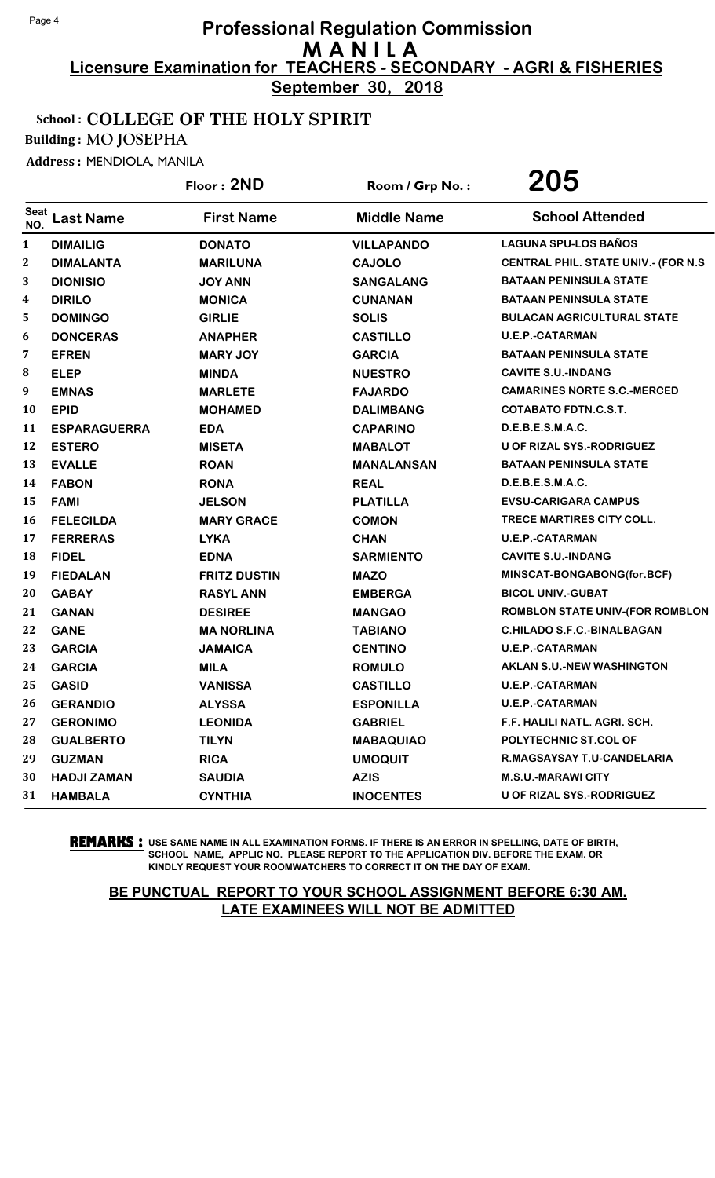**September 30, 2018**

### School : COLLEGE OF THE HOLY SPIRIT

Building : MO JOSEPHA

Address : MENDIOLA, MANILA

|                    |                     | Floor: 2ND          | Room / Grp No.:    | 205                                         |
|--------------------|---------------------|---------------------|--------------------|---------------------------------------------|
| <b>Seat</b><br>NO. | <b>Last Name</b>    | <b>First Name</b>   | <b>Middle Name</b> | <b>School Attended</b>                      |
| $\mathbf{1}$       | <b>DIMAILIG</b>     | <b>DONATO</b>       | <b>VILLAPANDO</b>  | <b>LAGUNA SPU-LOS BAÑOS</b>                 |
| 2                  | <b>DIMALANTA</b>    | <b>MARILUNA</b>     | <b>CAJOLO</b>      | <b>CENTRAL PHIL. STATE UNIV.- (FOR N.S.</b> |
| 3                  | <b>DIONISIO</b>     | <b>JOY ANN</b>      | <b>SANGALANG</b>   | <b>BATAAN PENINSULA STATE</b>               |
| 4                  | <b>DIRILO</b>       | <b>MONICA</b>       | <b>CUNANAN</b>     | <b>BATAAN PENINSULA STATE</b>               |
| 5                  | <b>DOMINGO</b>      | <b>GIRLIE</b>       | <b>SOLIS</b>       | <b>BULACAN AGRICULTURAL STATE</b>           |
| 6                  | <b>DONCERAS</b>     | <b>ANAPHER</b>      | <b>CASTILLO</b>    | <b>U.E.P.-CATARMAN</b>                      |
| 7                  | <b>EFREN</b>        | <b>MARY JOY</b>     | <b>GARCIA</b>      | <b>BATAAN PENINSULA STATE</b>               |
| 8                  | <b>ELEP</b>         | <b>MINDA</b>        | <b>NUESTRO</b>     | <b>CAVITE S.U.-INDANG</b>                   |
| 9                  | <b>EMNAS</b>        | <b>MARLETE</b>      | <b>FAJARDO</b>     | <b>CAMARINES NORTE S.C.-MERCED</b>          |
| 10                 | <b>EPID</b>         | <b>MOHAMED</b>      | <b>DALIMBANG</b>   | <b>COTABATO FDTN.C.S.T.</b>                 |
| 11                 | <b>ESPARAGUERRA</b> | <b>EDA</b>          | <b>CAPARINO</b>    | D.E.B.E.S.M.A.C.                            |
| 12                 | <b>ESTERO</b>       | <b>MISETA</b>       | <b>MABALOT</b>     | U OF RIZAL SYS.-RODRIGUEZ                   |
| 13                 | <b>EVALLE</b>       | <b>ROAN</b>         | <b>MANALANSAN</b>  | <b>BATAAN PENINSULA STATE</b>               |
| 14                 | <b>FABON</b>        | <b>RONA</b>         | <b>REAL</b>        | D.E.B.E.S.M.A.C.                            |
| 15                 | <b>FAMI</b>         | <b>JELSON</b>       | <b>PLATILLA</b>    | <b>EVSU-CARIGARA CAMPUS</b>                 |
| 16                 | <b>FELECILDA</b>    | <b>MARY GRACE</b>   | <b>COMON</b>       | TRECE MARTIRES CITY COLL.                   |
| 17                 | <b>FERRERAS</b>     | <b>LYKA</b>         | <b>CHAN</b>        | <b>U.E.P.-CATARMAN</b>                      |
| 18                 | <b>FIDEL</b>        | <b>EDNA</b>         | <b>SARMIENTO</b>   | <b>CAVITE S.U.-INDANG</b>                   |
| 19                 | <b>FIEDALAN</b>     | <b>FRITZ DUSTIN</b> | <b>MAZO</b>        | MINSCAT-BONGABONG(for.BCF)                  |
| 20                 | <b>GABAY</b>        | <b>RASYL ANN</b>    | <b>EMBERGA</b>     | <b>BICOL UNIV.-GUBAT</b>                    |
| 21                 | <b>GANAN</b>        | <b>DESIREE</b>      | <b>MANGAO</b>      | ROMBLON STATE UNIV-(FOR ROMBLON             |
| 22                 | <b>GANE</b>         | <b>MA NORLINA</b>   | <b>TABIANO</b>     | <b>C.HILADO S.F.C.-BINALBAGAN</b>           |
| 23                 | <b>GARCIA</b>       | <b>JAMAICA</b>      | <b>CENTINO</b>     | <b>U.E.P.-CATARMAN</b>                      |
| 24                 | <b>GARCIA</b>       | <b>MILA</b>         | <b>ROMULO</b>      | <b>AKLAN S.U.-NEW WASHINGTON</b>            |
| 25                 | <b>GASID</b>        | <b>VANISSA</b>      | <b>CASTILLO</b>    | <b>U.E.P.-CATARMAN</b>                      |
| 26                 | <b>GERANDIO</b>     | <b>ALYSSA</b>       | <b>ESPONILLA</b>   | <b>U.E.P.-CATARMAN</b>                      |
| 27                 | <b>GERONIMO</b>     | <b>LEONIDA</b>      | <b>GABRIEL</b>     | F.F. HALILI NATL. AGRI. SCH.                |
| 28                 | <b>GUALBERTO</b>    | <b>TILYN</b>        | <b>MABAQUIAO</b>   | POLYTECHNIC ST.COL OF                       |
| 29                 | <b>GUZMAN</b>       | <b>RICA</b>         | <b>UMOQUIT</b>     | R.MAGSAYSAY T.U-CANDELARIA                  |
| 30                 | <b>HADJI ZAMAN</b>  | <b>SAUDIA</b>       | <b>AZIS</b>        | <b>M.S.U.-MARAWI CITY</b>                   |
| 31                 | <b>HAMBALA</b>      | <b>CYNTHIA</b>      | <b>INOCENTES</b>   | U OF RIZAL SYS.-RODRIGUEZ                   |

**REMARKS :** USE SAME NAME IN ALL EXAMINATION FORMS. IF THERE IS AN ERROR IN SPELLING, DATE OF BIRTH, SCHOOL NAME, APPLIC NO. PLEASE REPORT TO THE APPLICATION DIV. BEFORE THE EXAM. OR KINDLY REQUEST YOUR ROOMWATCHERS TO CORRECT IT ON THE DAY OF EXAM.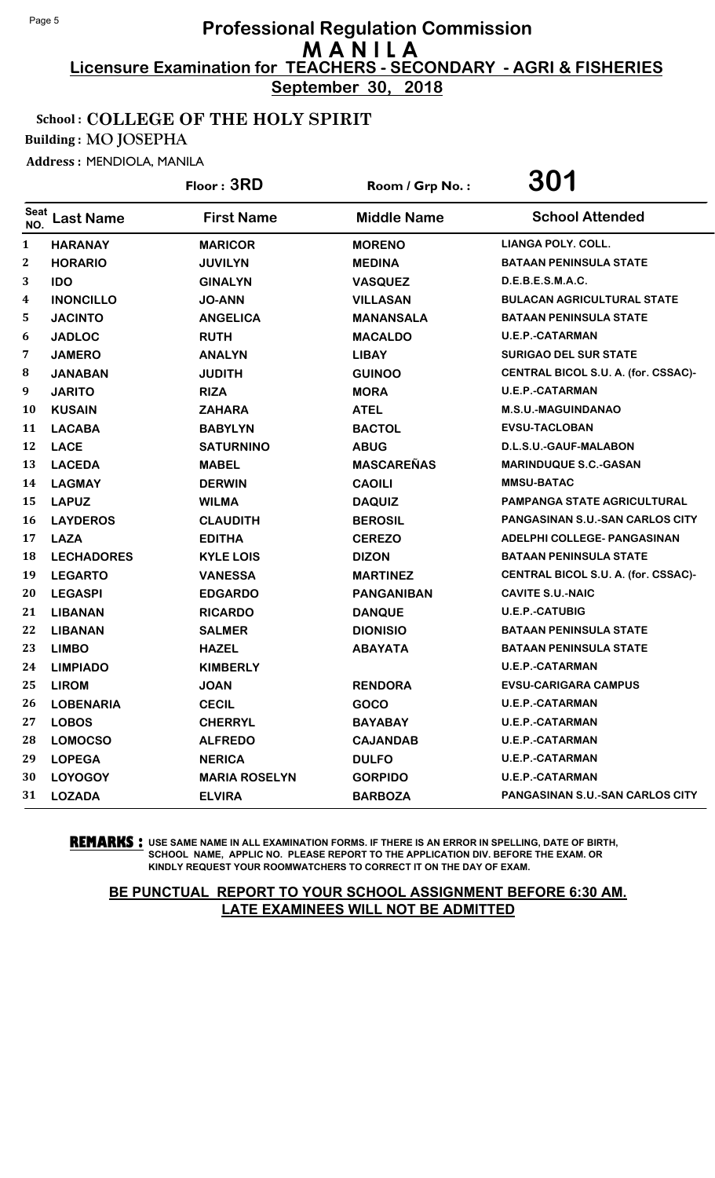**September 30, 2018**

### School : COLLEGE OF THE HOLY SPIRIT

Building : MO JOSEPHA

Address : MENDIOLA, MANILA

|              |                   | Floor: 3RD           | Room / Grp No.:    | 301                                    |
|--------------|-------------------|----------------------|--------------------|----------------------------------------|
| Seat<br>NO.  | <b>Last Name</b>  | <b>First Name</b>    | <b>Middle Name</b> | <b>School Attended</b>                 |
| $\mathbf{1}$ | <b>HARANAY</b>    | <b>MARICOR</b>       | <b>MORENO</b>      | <b>LIANGA POLY, COLL.</b>              |
| 2            | <b>HORARIO</b>    | <b>JUVILYN</b>       | <b>MEDINA</b>      | <b>BATAAN PENINSULA STATE</b>          |
| 3            | <b>IDO</b>        | <b>GINALYN</b>       | <b>VASQUEZ</b>     | D.E.B.E.S.M.A.C.                       |
| 4            | <b>INONCILLO</b>  | <b>JO-ANN</b>        | <b>VILLASAN</b>    | <b>BULACAN AGRICULTURAL STATE</b>      |
| 5            | <b>JACINTO</b>    | <b>ANGELICA</b>      | <b>MANANSALA</b>   | <b>BATAAN PENINSULA STATE</b>          |
| 6            | <b>JADLOC</b>     | <b>RUTH</b>          | <b>MACALDO</b>     | <b>U.E.P.-CATARMAN</b>                 |
| 7            | <b>JAMERO</b>     | <b>ANALYN</b>        | <b>LIBAY</b>       | <b>SURIGAO DEL SUR STATE</b>           |
| ${\bf 8}$    | <b>JANABAN</b>    | <b>JUDITH</b>        | <b>GUINOO</b>      | CENTRAL BICOL S.U. A. (for. CSSAC)-    |
| 9            | <b>JARITO</b>     | <b>RIZA</b>          | <b>MORA</b>        | <b>U.E.P.-CATARMAN</b>                 |
| 10           | <b>KUSAIN</b>     | <b>ZAHARA</b>        | <b>ATEL</b>        | <b>M.S.U.-MAGUINDANAO</b>              |
| 11           | <b>LACABA</b>     | <b>BABYLYN</b>       | <b>BACTOL</b>      | <b>EVSU-TACLOBAN</b>                   |
| 12           | <b>LACE</b>       | <b>SATURNINO</b>     | <b>ABUG</b>        | D.L.S.U.-GAUF-MALABON                  |
| 13           | <b>LACEDA</b>     | <b>MABEL</b>         | <b>MASCAREÑAS</b>  | <b>MARINDUQUE S.C.-GASAN</b>           |
| 14           | <b>LAGMAY</b>     | <b>DERWIN</b>        | <b>CAOILI</b>      | <b>MMSU-BATAC</b>                      |
| 15           | <b>LAPUZ</b>      | <b>WILMA</b>         | <b>DAQUIZ</b>      | <b>PAMPANGA STATE AGRICULTURAL</b>     |
| 16           | <b>LAYDEROS</b>   | <b>CLAUDITH</b>      | <b>BEROSIL</b>     | <b>PANGASINAN S.U.-SAN CARLOS CITY</b> |
| 17           | <b>LAZA</b>       | <b>EDITHA</b>        | <b>CEREZO</b>      | ADELPHI COLLEGE- PANGASINAN            |
| 18           | <b>LECHADORES</b> | <b>KYLE LOIS</b>     | <b>DIZON</b>       | <b>BATAAN PENINSULA STATE</b>          |
| 19           | <b>LEGARTO</b>    | <b>VANESSA</b>       | <b>MARTINEZ</b>    | CENTRAL BICOL S.U. A. (for. CSSAC)-    |
| 20           | <b>LEGASPI</b>    | <b>EDGARDO</b>       | <b>PANGANIBAN</b>  | <b>CAVITE S.U.-NAIC</b>                |
| 21           | <b>LIBANAN</b>    | <b>RICARDO</b>       | <b>DANQUE</b>      | <b>U.E.P.-CATUBIG</b>                  |
| 22           | <b>LIBANAN</b>    | <b>SALMER</b>        | <b>DIONISIO</b>    | <b>BATAAN PENINSULA STATE</b>          |
| 23           | <b>LIMBO</b>      | <b>HAZEL</b>         | <b>ABAYATA</b>     | <b>BATAAN PENINSULA STATE</b>          |
| 24           | <b>LIMPIADO</b>   | <b>KIMBERLY</b>      |                    | <b>U.E.P.-CATARMAN</b>                 |
| 25           | <b>LIROM</b>      | <b>JOAN</b>          | <b>RENDORA</b>     | <b>EVSU-CARIGARA CAMPUS</b>            |
| 26           | <b>LOBENARIA</b>  | <b>CECIL</b>         | GOCO               | <b>U.E.P.-CATARMAN</b>                 |
| 27           | <b>LOBOS</b>      | <b>CHERRYL</b>       | <b>BAYABAY</b>     | <b>U.E.P.-CATARMAN</b>                 |
| 28           | <b>LOMOCSO</b>    | <b>ALFREDO</b>       | <b>CAJANDAB</b>    | <b>U.E.P.-CATARMAN</b>                 |
| 29           | <b>LOPEGA</b>     | <b>NERICA</b>        | <b>DULFO</b>       | <b>U.E.P.-CATARMAN</b>                 |
| 30           | <b>LOYOGOY</b>    | <b>MARIA ROSELYN</b> | <b>GORPIDO</b>     | <b>U.E.P.-CATARMAN</b>                 |
| 31           | <b>LOZADA</b>     | <b>ELVIRA</b>        | <b>BARBOZA</b>     | <b>PANGASINAN S.U.-SAN CARLOS CITY</b> |

**REMARKS :** USE SAME NAME IN ALL EXAMINATION FORMS. IF THERE IS AN ERROR IN SPELLING, DATE OF BIRTH, SCHOOL NAME, APPLIC NO. PLEASE REPORT TO THE APPLICATION DIV. BEFORE THE EXAM. OR KINDLY REQUEST YOUR ROOMWATCHERS TO CORRECT IT ON THE DAY OF EXAM.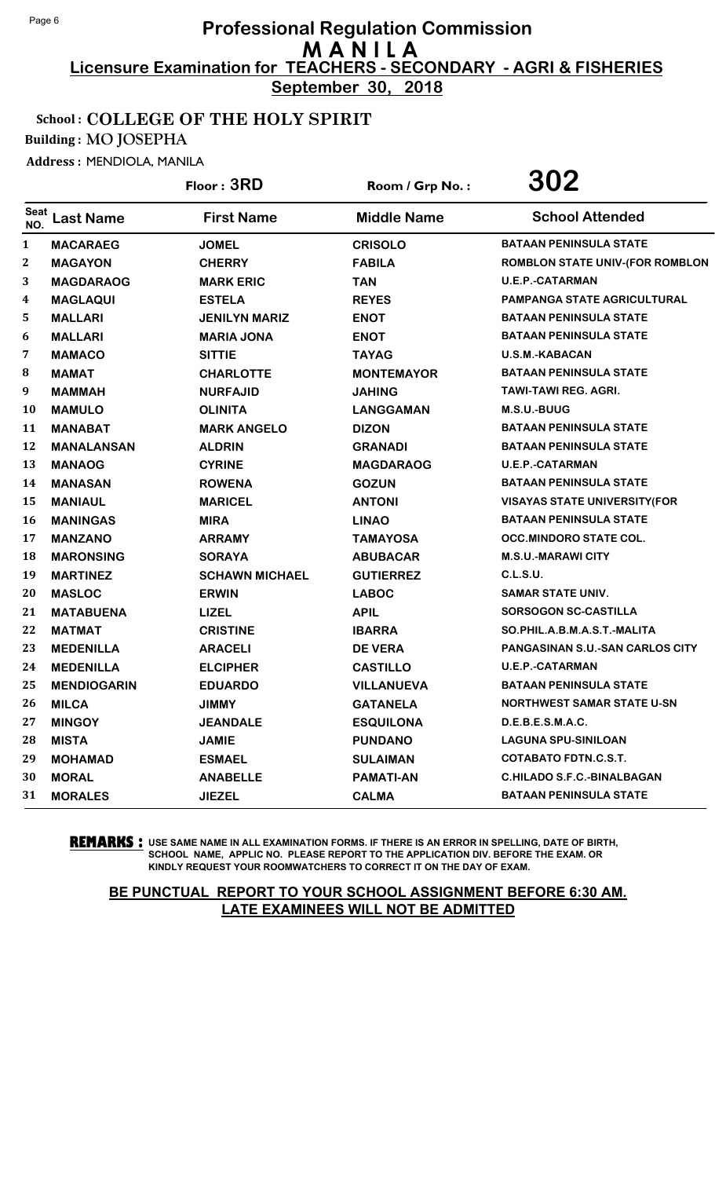**September 30, 2018**

### School : COLLEGE OF THE HOLY SPIRIT

Building : MO JOSEPHA

Address : MENDIOLA, MANILA

|                    |                    | Floor: 3RD            | Room / Grp No.:    | 302                                    |
|--------------------|--------------------|-----------------------|--------------------|----------------------------------------|
| <b>Seat</b><br>NO. | <b>Last Name</b>   | <b>First Name</b>     | <b>Middle Name</b> | <b>School Attended</b>                 |
| $\mathbf{1}$       | <b>MACARAEG</b>    | <b>JOMEL</b>          | <b>CRISOLO</b>     | <b>BATAAN PENINSULA STATE</b>          |
| 2                  | <b>MAGAYON</b>     | <b>CHERRY</b>         | <b>FABILA</b>      | <b>ROMBLON STATE UNIV-(FOR ROMBLON</b> |
| 3                  | <b>MAGDARAOG</b>   | <b>MARK ERIC</b>      | <b>TAN</b>         | <b>U.E.P.-CATARMAN</b>                 |
| 4                  | <b>MAGLAQUI</b>    | <b>ESTELA</b>         | <b>REYES</b>       | <b>PAMPANGA STATE AGRICULTURAL</b>     |
| 5                  | <b>MALLARI</b>     | <b>JENILYN MARIZ</b>  | <b>ENOT</b>        | <b>BATAAN PENINSULA STATE</b>          |
| 6                  | <b>MALLARI</b>     | <b>MARIA JONA</b>     | <b>ENOT</b>        | <b>BATAAN PENINSULA STATE</b>          |
| 7                  | <b>MAMACO</b>      | <b>SITTIE</b>         | <b>TAYAG</b>       | <b>U.S.M.-KABACAN</b>                  |
| 8                  | <b>MAMAT</b>       | <b>CHARLOTTE</b>      | <b>MONTEMAYOR</b>  | <b>BATAAN PENINSULA STATE</b>          |
| 9                  | <b>MAMMAH</b>      | <b>NURFAJID</b>       | <b>JAHING</b>      | <b>TAWI-TAWI REG. AGRI.</b>            |
| 10                 | <b>MAMULO</b>      | <b>OLINITA</b>        | <b>LANGGAMAN</b>   | M.S.U.-BUUG                            |
| 11                 | <b>MANABAT</b>     | <b>MARK ANGELO</b>    | <b>DIZON</b>       | <b>BATAAN PENINSULA STATE</b>          |
| 12                 | <b>MANALANSAN</b>  | <b>ALDRIN</b>         | <b>GRANADI</b>     | <b>BATAAN PENINSULA STATE</b>          |
| 13                 | <b>MANAOG</b>      | <b>CYRINE</b>         | <b>MAGDARAOG</b>   | <b>U.E.P.-CATARMAN</b>                 |
| 14                 | <b>MANASAN</b>     | <b>ROWENA</b>         | <b>GOZUN</b>       | <b>BATAAN PENINSULA STATE</b>          |
| 15                 | <b>MANIAUL</b>     | <b>MARICEL</b>        | <b>ANTONI</b>      | <b>VISAYAS STATE UNIVERSITY (FOR</b>   |
| 16                 | <b>MANINGAS</b>    | <b>MIRA</b>           | <b>LINAO</b>       | <b>BATAAN PENINSULA STATE</b>          |
| 17                 | <b>MANZANO</b>     | <b>ARRAMY</b>         | <b>TAMAYOSA</b>    | <b>OCC.MINDORO STATE COL.</b>          |
| 18                 | <b>MARONSING</b>   | <b>SORAYA</b>         | <b>ABUBACAR</b>    | <b>M.S.U.-MARAWI CITY</b>              |
| 19                 | <b>MARTINEZ</b>    | <b>SCHAWN MICHAEL</b> | <b>GUTIERREZ</b>   | <b>C.L.S.U.</b>                        |
| 20                 | <b>MASLOC</b>      | <b>ERWIN</b>          | <b>LABOC</b>       | <b>SAMAR STATE UNIV.</b>               |
| 21                 | <b>MATABUENA</b>   | <b>LIZEL</b>          | <b>APIL</b>        | SORSOGON SC-CASTILLA                   |
| 22                 | <b>MATMAT</b>      | <b>CRISTINE</b>       | <b>IBARRA</b>      | SO.PHIL.A.B.M.A.S.T.-MALITA            |
| 23                 | <b>MEDENILLA</b>   | <b>ARACELI</b>        | <b>DE VERA</b>     | PANGASINAN S.U.-SAN CARLOS CITY        |
| 24                 | <b>MEDENILLA</b>   | <b>ELCIPHER</b>       | <b>CASTILLO</b>    | <b>U.E.P.-CATARMAN</b>                 |
| 25                 | <b>MENDIOGARIN</b> | <b>EDUARDO</b>        | <b>VILLANUEVA</b>  | <b>BATAAN PENINSULA STATE</b>          |
| 26                 | <b>MILCA</b>       | <b>JIMMY</b>          | <b>GATANELA</b>    | <b>NORTHWEST SAMAR STATE U-SN</b>      |
| 27                 | <b>MINGOY</b>      | <b>JEANDALE</b>       | <b>ESQUILONA</b>   | D.E.B.E.S.M.A.C.                       |
| 28                 | <b>MISTA</b>       | <b>JAMIE</b>          | <b>PUNDANO</b>     | <b>LAGUNA SPU-SINILOAN</b>             |
| 29                 | <b>MOHAMAD</b>     | <b>ESMAEL</b>         | <b>SULAIMAN</b>    | <b>COTABATO FDTN.C.S.T.</b>            |
| 30                 | <b>MORAL</b>       | <b>ANABELLE</b>       | <b>PAMATI-AN</b>   | <b>C.HILADO S.F.C.-BINALBAGAN</b>      |
| 31                 | <b>MORALES</b>     | <b>JIEZEL</b>         | <b>CALMA</b>       | <b>BATAAN PENINSULA STATE</b>          |

**REMARKS :** USE SAME NAME IN ALL EXAMINATION FORMS. IF THERE IS AN ERROR IN SPELLING, DATE OF BIRTH, SCHOOL NAME, APPLIC NO. PLEASE REPORT TO THE APPLICATION DIV. BEFORE THE EXAM. OR KINDLY REQUEST YOUR ROOMWATCHERS TO CORRECT IT ON THE DAY OF EXAM.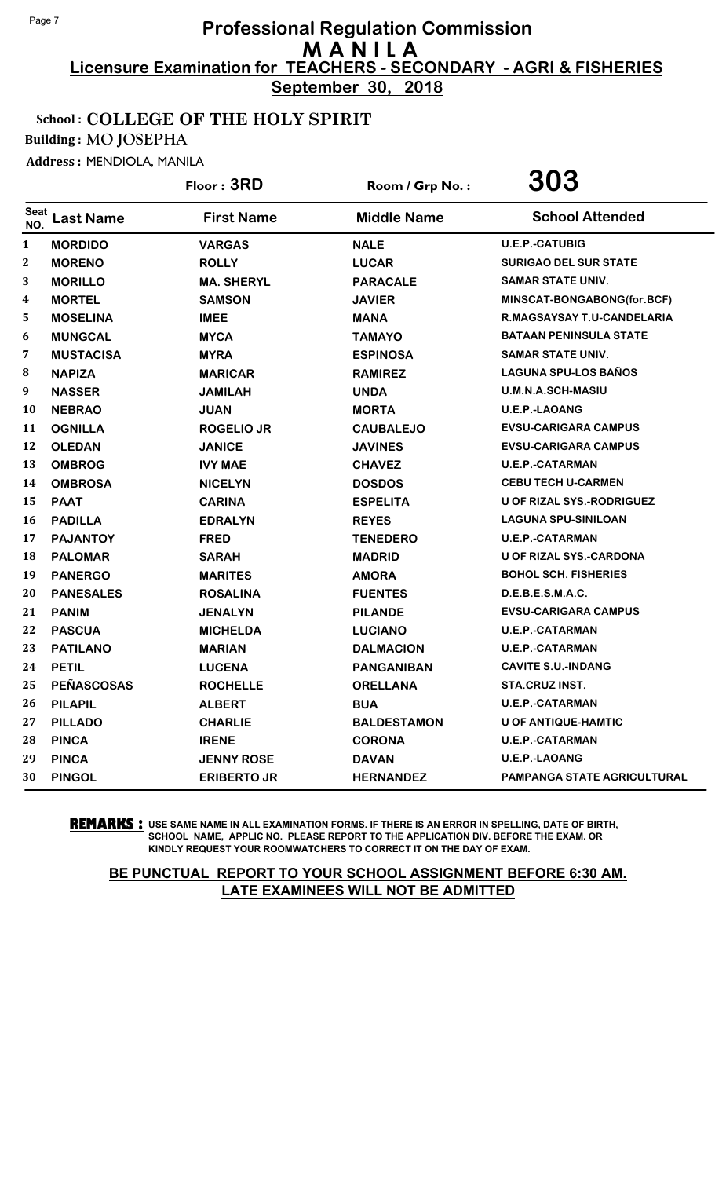**September 30, 2018**

### School : COLLEGE OF THE HOLY SPIRIT

Building : MO JOSEPHA

Address : MENDIOLA, MANILA

|                    |                   | Floor: 3RD         | Room / Grp No.:    | 303                                |
|--------------------|-------------------|--------------------|--------------------|------------------------------------|
| <b>Seat</b><br>NO. | <b>Last Name</b>  | <b>First Name</b>  | <b>Middle Name</b> | <b>School Attended</b>             |
| $\mathbf{1}$       | <b>MORDIDO</b>    | <b>VARGAS</b>      | <b>NALE</b>        | <b>U.E.P.-CATUBIG</b>              |
| $\boldsymbol{2}$   | <b>MORENO</b>     | <b>ROLLY</b>       | <b>LUCAR</b>       | <b>SURIGAO DEL SUR STATE</b>       |
| 3                  | <b>MORILLO</b>    | <b>MA. SHERYL</b>  | <b>PARACALE</b>    | <b>SAMAR STATE UNIV.</b>           |
| 4                  | <b>MORTEL</b>     | <b>SAMSON</b>      | <b>JAVIER</b>      | MINSCAT-BONGABONG(for.BCF)         |
| 5                  | <b>MOSELINA</b>   | <b>IMEE</b>        | <b>MANA</b>        | R.MAGSAYSAY T.U-CANDELARIA         |
| 6                  | <b>MUNGCAL</b>    | <b>MYCA</b>        | <b>TAMAYO</b>      | <b>BATAAN PENINSULA STATE</b>      |
| 7                  | <b>MUSTACISA</b>  | <b>MYRA</b>        | <b>ESPINOSA</b>    | <b>SAMAR STATE UNIV.</b>           |
| $\bf{8}$           | <b>NAPIZA</b>     | <b>MARICAR</b>     | <b>RAMIREZ</b>     | <b>LAGUNA SPU-LOS BAÑOS</b>        |
| 9                  | <b>NASSER</b>     | <b>JAMILAH</b>     | <b>UNDA</b>        | U.M.N.A.SCH-MASIU                  |
| 10                 | <b>NEBRAO</b>     | <b>JUAN</b>        | <b>MORTA</b>       | U.E.P.-LAOANG                      |
| 11                 | <b>OGNILLA</b>    | <b>ROGELIO JR</b>  | <b>CAUBALEJO</b>   | <b>EVSU-CARIGARA CAMPUS</b>        |
| 12                 | <b>OLEDAN</b>     | <b>JANICE</b>      | <b>JAVINES</b>     | <b>EVSU-CARIGARA CAMPUS</b>        |
| 13                 | <b>OMBROG</b>     | <b>IVY MAE</b>     | <b>CHAVEZ</b>      | <b>U.E.P.-CATARMAN</b>             |
| 14                 | <b>OMBROSA</b>    | <b>NICELYN</b>     | <b>DOSDOS</b>      | <b>CEBU TECH U-CARMEN</b>          |
| 15                 | <b>PAAT</b>       | <b>CARINA</b>      | <b>ESPELITA</b>    | <b>U OF RIZAL SYS.-RODRIGUEZ</b>   |
| 16                 | <b>PADILLA</b>    | <b>EDRALYN</b>     | <b>REYES</b>       | <b>LAGUNA SPU-SINILOAN</b>         |
| 17                 | <b>PAJANTOY</b>   | <b>FRED</b>        | <b>TENEDERO</b>    | <b>U.E.P.-CATARMAN</b>             |
| 18                 | <b>PALOMAR</b>    | <b>SARAH</b>       | <b>MADRID</b>      | <b>U OF RIZAL SYS.-CARDONA</b>     |
| 19                 | <b>PANERGO</b>    | <b>MARITES</b>     | <b>AMORA</b>       | <b>BOHOL SCH. FISHERIES</b>        |
| 20                 | <b>PANESALES</b>  | <b>ROSALINA</b>    | <b>FUENTES</b>     | D.E.B.E.S.M.A.C.                   |
| 21                 | <b>PANIM</b>      | <b>JENALYN</b>     | <b>PILANDE</b>     | <b>EVSU-CARIGARA CAMPUS</b>        |
| 22                 | <b>PASCUA</b>     | <b>MICHELDA</b>    | <b>LUCIANO</b>     | <b>U.E.P.-CATARMAN</b>             |
| 23                 | <b>PATILANO</b>   | <b>MARIAN</b>      | <b>DALMACION</b>   | <b>U.E.P.-CATARMAN</b>             |
| 24                 | <b>PETIL</b>      | <b>LUCENA</b>      | <b>PANGANIBAN</b>  | <b>CAVITE S.U.-INDANG</b>          |
| 25                 | <b>PEÑASCOSAS</b> | <b>ROCHELLE</b>    | <b>ORELLANA</b>    | STA.CRUZ INST.                     |
| 26                 | <b>PILAPIL</b>    | <b>ALBERT</b>      | <b>BUA</b>         | <b>U.E.P.-CATARMAN</b>             |
| 27                 | <b>PILLADO</b>    | <b>CHARLIE</b>     | <b>BALDESTAMON</b> | U OF ANTIQUE-HAMTIC                |
| 28                 | <b>PINCA</b>      | <b>IRENE</b>       | <b>CORONA</b>      | <b>U.E.P.-CATARMAN</b>             |
| 29                 | <b>PINCA</b>      | <b>JENNY ROSE</b>  | <b>DAVAN</b>       | U.E.P.-LAOANG                      |
| 30                 | <b>PINGOL</b>     | <b>ERIBERTO JR</b> | <b>HERNANDEZ</b>   | <b>PAMPANGA STATE AGRICULTURAL</b> |

**REMARKS :** USE SAME NAME IN ALL EXAMINATION FORMS. IF THERE IS AN ERROR IN SPELLING, DATE OF BIRTH, SCHOOL NAME, APPLIC NO. PLEASE REPORT TO THE APPLICATION DIV. BEFORE THE EXAM. OR KINDLY REQUEST YOUR ROOMWATCHERS TO CORRECT IT ON THE DAY OF EXAM.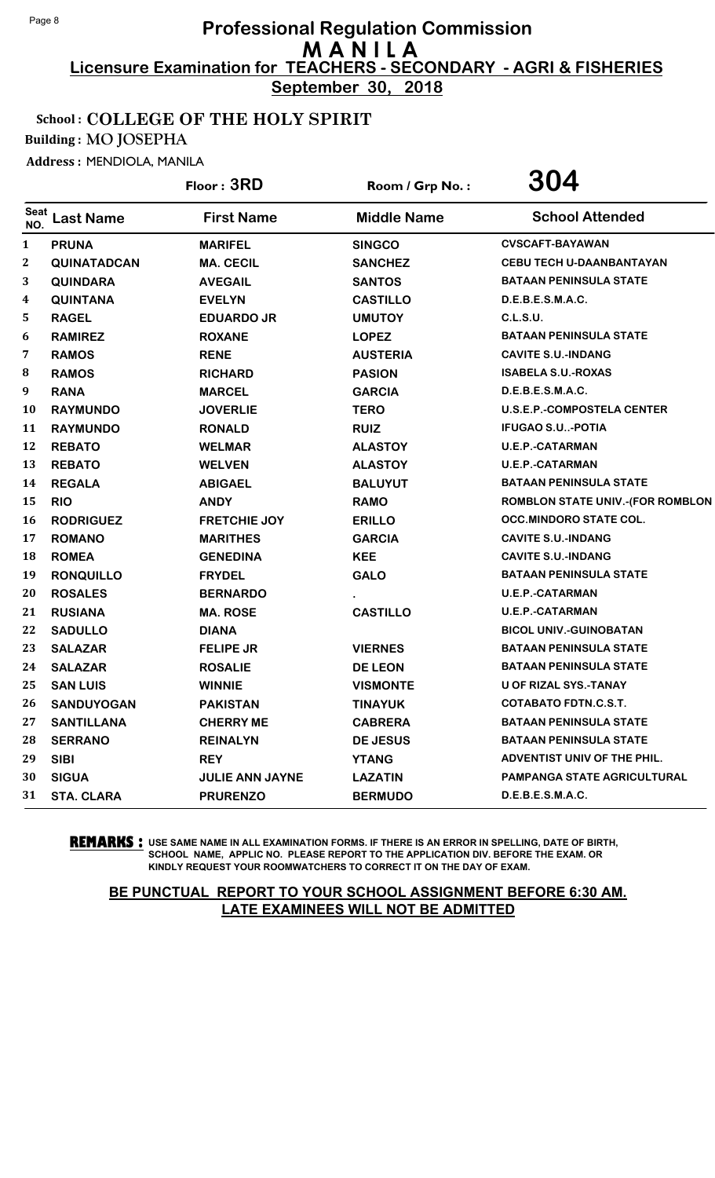**September 30, 2018**

### School : COLLEGE OF THE HOLY SPIRIT

Building : MO JOSEPHA

Address : MENDIOLA, MANILA

|                    |                    | Floor: 3RD             | Room / Grp No.:    | 304                                     |
|--------------------|--------------------|------------------------|--------------------|-----------------------------------------|
| <b>Seat</b><br>NO. | <b>Last Name</b>   | <b>First Name</b>      | <b>Middle Name</b> | <b>School Attended</b>                  |
| $\mathbf{1}$       | <b>PRUNA</b>       | <b>MARIFEL</b>         | <b>SINGCO</b>      | <b>CVSCAFT-BAYAWAN</b>                  |
| $\boldsymbol{2}$   | <b>QUINATADCAN</b> | <b>MA. CECIL</b>       | <b>SANCHEZ</b>     | <b>CEBU TECH U-DAANBANTAYAN</b>         |
| 3                  | <b>QUINDARA</b>    | <b>AVEGAIL</b>         | <b>SANTOS</b>      | <b>BATAAN PENINSULA STATE</b>           |
| 4                  | <b>QUINTANA</b>    | <b>EVELYN</b>          | <b>CASTILLO</b>    | D.E.B.E.S.M.A.C.                        |
| 5                  | <b>RAGEL</b>       | <b>EDUARDO JR</b>      | <b>UMUTOY</b>      | <b>C.L.S.U.</b>                         |
| 6                  | <b>RAMIREZ</b>     | <b>ROXANE</b>          | <b>LOPEZ</b>       | <b>BATAAN PENINSULA STATE</b>           |
| 7                  | <b>RAMOS</b>       | <b>RENE</b>            | <b>AUSTERIA</b>    | <b>CAVITE S.U.-INDANG</b>               |
| 8                  | <b>RAMOS</b>       | <b>RICHARD</b>         | <b>PASION</b>      | <b>ISABELA S.U.-ROXAS</b>               |
| 9                  | <b>RANA</b>        | <b>MARCEL</b>          | <b>GARCIA</b>      | D.E.B.E.S.M.A.C.                        |
| 10                 | <b>RAYMUNDO</b>    | <b>JOVERLIE</b>        | <b>TERO</b>        | <b>U.S.E.P.-COMPOSTELA CENTER</b>       |
| 11                 | <b>RAYMUNDO</b>    | <b>RONALD</b>          | <b>RUIZ</b>        | <b>IFUGAO S.U-POTIA</b>                 |
| 12                 | <b>REBATO</b>      | <b>WELMAR</b>          | <b>ALASTOY</b>     | <b>U.E.P.-CATARMAN</b>                  |
| 13                 | <b>REBATO</b>      | <b>WELVEN</b>          | <b>ALASTOY</b>     | U.E.P.-CATARMAN                         |
| 14                 | <b>REGALA</b>      | <b>ABIGAEL</b>         | <b>BALUYUT</b>     | <b>BATAAN PENINSULA STATE</b>           |
| 15                 | <b>RIO</b>         | <b>ANDY</b>            | <b>RAMO</b>        | <b>ROMBLON STATE UNIV.-(FOR ROMBLON</b> |
| 16                 | <b>RODRIGUEZ</b>   | <b>FRETCHIE JOY</b>    | <b>ERILLO</b>      | <b>OCC.MINDORO STATE COL.</b>           |
| 17                 | <b>ROMANO</b>      | <b>MARITHES</b>        | <b>GARCIA</b>      | <b>CAVITE S.U.-INDANG</b>               |
| 18                 | <b>ROMEA</b>       | <b>GENEDINA</b>        | <b>KEE</b>         | <b>CAVITE S.U.-INDANG</b>               |
| 19                 | <b>RONQUILLO</b>   | <b>FRYDEL</b>          | <b>GALO</b>        | <b>BATAAN PENINSULA STATE</b>           |
| 20                 | <b>ROSALES</b>     | <b>BERNARDO</b>        |                    | <b>U.E.P.-CATARMAN</b>                  |
| 21                 | <b>RUSIANA</b>     | <b>MA. ROSE</b>        | <b>CASTILLO</b>    | <b>U.E.P.-CATARMAN</b>                  |
| 22                 | <b>SADULLO</b>     | <b>DIANA</b>           |                    | <b>BICOL UNIV.-GUINOBATAN</b>           |
| 23                 | <b>SALAZAR</b>     | <b>FELIPE JR</b>       | <b>VIERNES</b>     | <b>BATAAN PENINSULA STATE</b>           |
| 24                 | <b>SALAZAR</b>     | <b>ROSALIE</b>         | <b>DE LEON</b>     | <b>BATAAN PENINSULA STATE</b>           |
| 25                 | <b>SAN LUIS</b>    | <b>WINNIE</b>          | <b>VISMONTE</b>    | <b>U OF RIZAL SYS.-TANAY</b>            |
| 26                 | <b>SANDUYOGAN</b>  | <b>PAKISTAN</b>        | <b>TINAYUK</b>     | <b>COTABATO FDTN.C.S.T.</b>             |
| 27                 | <b>SANTILLANA</b>  | <b>CHERRY ME</b>       | <b>CABRERA</b>     | <b>BATAAN PENINSULA STATE</b>           |
| 28                 | <b>SERRANO</b>     | <b>REINALYN</b>        | <b>DE JESUS</b>    | <b>BATAAN PENINSULA STATE</b>           |
| 29                 | <b>SIBI</b>        | <b>REY</b>             | <b>YTANG</b>       | ADVENTIST UNIV OF THE PHIL.             |
| 30                 | <b>SIGUA</b>       | <b>JULIE ANN JAYNE</b> | <b>LAZATIN</b>     | PAMPANGA STATE AGRICULTURAL             |
| 31                 | <b>STA. CLARA</b>  | <b>PRURENZO</b>        | <b>BERMUDO</b>     | D.E.B.E.S.M.A.C.                        |

**REMARKS :** USE SAME NAME IN ALL EXAMINATION FORMS. IF THERE IS AN ERROR IN SPELLING, DATE OF BIRTH, SCHOOL NAME, APPLIC NO. PLEASE REPORT TO THE APPLICATION DIV. BEFORE THE EXAM. OR KINDLY REQUEST YOUR ROOMWATCHERS TO CORRECT IT ON THE DAY OF EXAM.